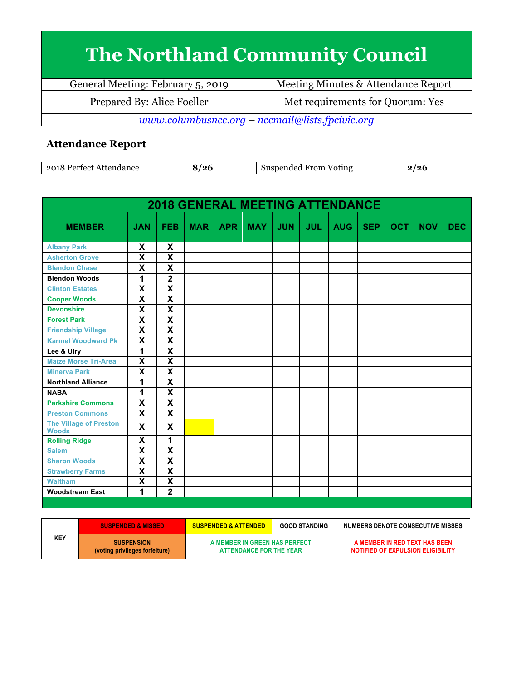## **The Northland Community Council**

General Meeting: February 5, 2019 Meeting Minutes & Attendance Report Prepared By: Alice Foeller Met requirements for Quorum: Yes *www.columbusncc.org – nccmail@lists.fpcivic.org*

## **Attendance Report**

| 2018<br>ndance<br>ഹ+<br>. | '26 | ∗rom<br>Voting<br>--<br>тиес<br>יי |  |
|---------------------------|-----|------------------------------------|--|
|---------------------------|-----|------------------------------------|--|

| <b>2018 GENERAL MEETING ATTENDANCE</b>        |                           |                         |            |            |            |            |            |            |            |            |            |            |
|-----------------------------------------------|---------------------------|-------------------------|------------|------------|------------|------------|------------|------------|------------|------------|------------|------------|
| <b>MEMBER</b>                                 | <b>JAN</b>                | <b>FEB</b>              | <b>MAR</b> | <b>APR</b> | <b>MAY</b> | <b>JUN</b> | <b>JUL</b> | <b>AUG</b> | <b>SEP</b> | <b>OCT</b> | <b>NOV</b> | <b>DEC</b> |
| <b>Albany Park</b>                            | X                         | X                       |            |            |            |            |            |            |            |            |            |            |
| <b>Asherton Grove</b>                         | $\overline{\mathsf{x}}$   | $\overline{\mathbf{x}}$ |            |            |            |            |            |            |            |            |            |            |
| <b>Blendon Chase</b>                          | X                         | $\mathbf x$             |            |            |            |            |            |            |            |            |            |            |
| <b>Blendon Woods</b>                          | 1                         | $\mathbf 2$             |            |            |            |            |            |            |            |            |            |            |
| <b>Clinton Estates</b>                        | $\overline{\mathbf{x}}$   | $\overline{\mathbf{x}}$ |            |            |            |            |            |            |            |            |            |            |
| <b>Cooper Woods</b>                           | $\boldsymbol{\mathsf{X}}$ | $\overline{\mathbf{x}}$ |            |            |            |            |            |            |            |            |            |            |
| <b>Devonshire</b>                             | $\overline{\mathbf{x}}$   | $\overline{\mathbf{x}}$ |            |            |            |            |            |            |            |            |            |            |
| <b>Forest Park</b>                            | $\overline{\mathbf{x}}$   | $\overline{\mathbf{x}}$ |            |            |            |            |            |            |            |            |            |            |
| <b>Friendship Village</b>                     | $\overline{\mathbf{X}}$   | $\overline{\mathbf{X}}$ |            |            |            |            |            |            |            |            |            |            |
| <b>Karmel Woodward Pk</b>                     | $\overline{\mathbf{x}}$   | $\overline{\mathbf{x}}$ |            |            |            |            |            |            |            |            |            |            |
| Lee & Ulry                                    | 1                         | $\overline{\mathbf{x}}$ |            |            |            |            |            |            |            |            |            |            |
| <b>Maize Morse Tri-Area</b>                   | $\overline{\mathbf{x}}$   | $\overline{\mathbf{x}}$ |            |            |            |            |            |            |            |            |            |            |
| <b>Minerva Park</b>                           | $\overline{\mathbf{X}}$   | $\overline{\mathbf{X}}$ |            |            |            |            |            |            |            |            |            |            |
| <b>Northland Alliance</b>                     | $\overline{\mathbf{1}}$   | $\overline{\mathbf{x}}$ |            |            |            |            |            |            |            |            |            |            |
| <b>NABA</b>                                   | 1                         | $\overline{\mathbf{x}}$ |            |            |            |            |            |            |            |            |            |            |
| <b>Parkshire Commons</b>                      | $\overline{\mathbf{x}}$   | $\overline{\mathbf{x}}$ |            |            |            |            |            |            |            |            |            |            |
| <b>Preston Commons</b>                        | $\overline{\mathbf{x}}$   | $\overline{\mathbf{x}}$ |            |            |            |            |            |            |            |            |            |            |
| <b>The Village of Preston</b><br><b>Woods</b> | X                         | X                       |            |            |            |            |            |            |            |            |            |            |
| <b>Rolling Ridge</b>                          | $\pmb{\mathsf{X}}$        | 1                       |            |            |            |            |            |            |            |            |            |            |
| <b>Salem</b>                                  | $\overline{\mathbf{x}}$   | $\overline{\mathbf{x}}$ |            |            |            |            |            |            |            |            |            |            |
| <b>Sharon Woods</b>                           | $\overline{\mathbf{x}}$   | $\overline{\mathbf{x}}$ |            |            |            |            |            |            |            |            |            |            |
| <b>Strawberry Farms</b>                       | $\overline{\mathbf{x}}$   | $\overline{\mathbf{x}}$ |            |            |            |            |            |            |            |            |            |            |
| <b>Waltham</b>                                | $\boldsymbol{\mathsf{X}}$ | X                       |            |            |            |            |            |            |            |            |            |            |
| <b>Woodstream East</b>                        | 1                         | $\overline{2}$          |            |            |            |            |            |            |            |            |            |            |
|                                               |                           |                         |            |            |            |            |            |            |            |            |            |            |

|     | <b>SUSPENDED &amp; MISSED</b>                       | <b>SUSPENDED &amp; ATTENDED</b>                          | <b>GOOD STANDING</b> | NUMBERS DENOTE CONSECUTIVE MISSES                                  |
|-----|-----------------------------------------------------|----------------------------------------------------------|----------------------|--------------------------------------------------------------------|
| KEY | <b>SUSPENSION</b><br>(voting privileges forfeiture) | A MEMBER IN GREEN HAS PERFECT<br>ATTENDANCE FOR THE YEAR |                      | A MEMBER IN RED TEXT HAS BEEN<br>NOTIFIED OF EXPULSION ELIGIBILITY |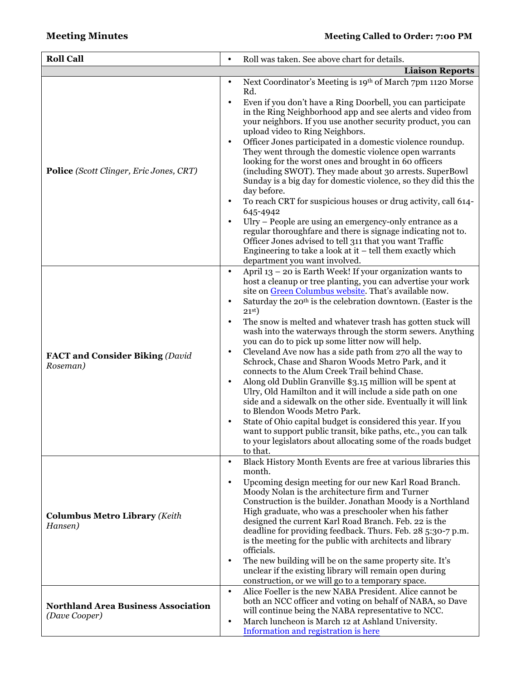| <b>Roll Call</b>                                            |                                                               | Roll was taken. See above chart for details.                                                                                                                                                                                                                                                                                                                                                                                                                                                                                                                                                                                                                                                                                                                                                                                                                                                                                                                                                                                                                                           |
|-------------------------------------------------------------|---------------------------------------------------------------|----------------------------------------------------------------------------------------------------------------------------------------------------------------------------------------------------------------------------------------------------------------------------------------------------------------------------------------------------------------------------------------------------------------------------------------------------------------------------------------------------------------------------------------------------------------------------------------------------------------------------------------------------------------------------------------------------------------------------------------------------------------------------------------------------------------------------------------------------------------------------------------------------------------------------------------------------------------------------------------------------------------------------------------------------------------------------------------|
|                                                             |                                                               |                                                                                                                                                                                                                                                                                                                                                                                                                                                                                                                                                                                                                                                                                                                                                                                                                                                                                                                                                                                                                                                                                        |
| Police (Scott Clinger, Eric Jones, CRT)                     | $\bullet$<br>$\bullet$<br>$\bullet$                           | <b>Liaison Reports</b><br>Next Coordinator's Meeting is 19th of March 7pm 1120 Morse<br>Rd.<br>Even if you don't have a Ring Doorbell, you can participate<br>in the Ring Neighborhood app and see alerts and video from<br>your neighbors. If you use another security product, you can<br>upload video to Ring Neighbors.<br>Officer Jones participated in a domestic violence roundup.<br>They went through the domestic violence open warrants<br>looking for the worst ones and brought in 60 officers<br>(including SWOT). They made about 30 arrests. SuperBowl<br>Sunday is a big day for domestic violence, so they did this the<br>day before.<br>To reach CRT for suspicious houses or drug activity, call 614-<br>645-4942<br>Ulry - People are using an emergency-only entrance as a<br>regular thoroughfare and there is signage indicating not to.<br>Officer Jones advised to tell 311 that you want Traffic<br>Engineering to take a look at it $-$ tell them exactly which<br>department you want involved.                                                          |
| <b>FACT and Consider Biking (David</b><br>Roseman)          | $\bullet$<br>$\bullet$<br>$\bullet$<br>$\bullet$<br>$\bullet$ | April 13 - 20 is Earth Week! If your organization wants to<br>host a cleanup or tree planting, you can advertise your work<br>site on Green Columbus website. That's available now.<br>Saturday the 20 <sup>th</sup> is the celebration downtown. (Easter is the<br>21 <sup>st</sup><br>The snow is melted and whatever trash has gotten stuck will<br>wash into the waterways through the storm sewers. Anything<br>you can do to pick up some litter now will help.<br>Cleveland Ave now has a side path from 270 all the way to<br>Schrock, Chase and Sharon Woods Metro Park, and it<br>connects to the Alum Creek Trail behind Chase.<br>Along old Dublin Granville \$3.15 million will be spent at<br>Ulry, Old Hamilton and it will include a side path on one<br>side and a sidewalk on the other side. Eventually it will link<br>to Blendon Woods Metro Park.<br>State of Ohio capital budget is considered this year. If you<br>want to support public transit, bike paths, etc., you can talk<br>to your legislators about allocating some of the roads budget<br>to that. |
| <b>Columbus Metro Library (Keith</b><br>Hansen)             | $\bullet$<br>$\bullet$<br>$\bullet$                           | Black History Month Events are free at various libraries this<br>month.<br>Upcoming design meeting for our new Karl Road Branch.<br>Moody Nolan is the architecture firm and Turner<br>Construction is the builder. Jonathan Moody is a Northland<br>High graduate, who was a preschooler when his father<br>designed the current Karl Road Branch. Feb. 22 is the<br>deadline for providing feedback. Thurs. Feb. 28 5:30-7 p.m.<br>is the meeting for the public with architects and library<br>officials.<br>The new building will be on the same property site. It's<br>unclear if the existing library will remain open during<br>construction, or we will go to a temporary space.                                                                                                                                                                                                                                                                                                                                                                                               |
| <b>Northland Area Business Association</b><br>(Dave Cooper) | $\bullet$<br>$\bullet$                                        | Alice Foeller is the new NABA President. Alice cannot be<br>both an NCC officer and voting on behalf of NABA, so Dave<br>will continue being the NABA representative to NCC.<br>March luncheon is March 12 at Ashland University.<br>Information and registration is here                                                                                                                                                                                                                                                                                                                                                                                                                                                                                                                                                                                                                                                                                                                                                                                                              |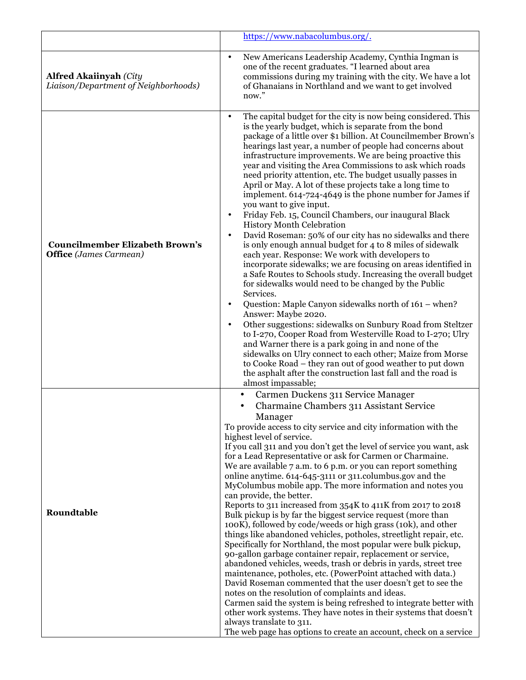|                                                                         | https://www.nabacolumbus.org/.                                                                                                                                                                                                                                                                                                                                                                                                                                                                                                                                                                                                                                                                                                                                                                                                                                                                                                                                                                                                                                                                                                                                                                                                                                                                                                                                                                                                                                                                                                                                                         |
|-------------------------------------------------------------------------|----------------------------------------------------------------------------------------------------------------------------------------------------------------------------------------------------------------------------------------------------------------------------------------------------------------------------------------------------------------------------------------------------------------------------------------------------------------------------------------------------------------------------------------------------------------------------------------------------------------------------------------------------------------------------------------------------------------------------------------------------------------------------------------------------------------------------------------------------------------------------------------------------------------------------------------------------------------------------------------------------------------------------------------------------------------------------------------------------------------------------------------------------------------------------------------------------------------------------------------------------------------------------------------------------------------------------------------------------------------------------------------------------------------------------------------------------------------------------------------------------------------------------------------------------------------------------------------|
| <b>Alfred Akaiinyah (City</b><br>Liaison/Department of Neighborhoods)   | New Americans Leadership Academy, Cynthia Ingman is<br>$\bullet$<br>one of the recent graduates. "I learned about area<br>commissions during my training with the city. We have a lot<br>of Ghanaians in Northland and we want to get involved<br>now."                                                                                                                                                                                                                                                                                                                                                                                                                                                                                                                                                                                                                                                                                                                                                                                                                                                                                                                                                                                                                                                                                                                                                                                                                                                                                                                                |
| <b>Councilmember Elizabeth Brown's</b><br><b>Office</b> (James Carmean) | The capital budget for the city is now being considered. This<br>$\bullet$<br>is the yearly budget, which is separate from the bond<br>package of a little over \$1 billion. At Councilmember Brown's<br>hearings last year, a number of people had concerns about<br>infrastructure improvements. We are being proactive this<br>year and visiting the Area Commissions to ask which roads<br>need priority attention, etc. The budget usually passes in<br>April or May. A lot of these projects take a long time to<br>implement. 614-724-4649 is the phone number for James if<br>you want to give input.<br>Friday Feb. 15, Council Chambers, our inaugural Black<br>History Month Celebration<br>David Roseman: 50% of our city has no sidewalks and there<br>is only enough annual budget for 4 to 8 miles of sidewalk<br>each year. Response: We work with developers to<br>incorporate sidewalks; we are focusing on areas identified in<br>a Safe Routes to Schools study. Increasing the overall budget<br>for sidewalks would need to be changed by the Public<br>Services.<br>Question: Maple Canyon sidewalks north of 161 – when?<br>$\bullet$<br>Answer: Maybe 2020.<br>Other suggestions: sidewalks on Sunbury Road from Steltzer<br>to I-270, Cooper Road from Westerville Road to I-270; Ulry<br>and Warner there is a park going in and none of the<br>sidewalks on Ulry connect to each other; Maize from Morse<br>to Cooke Road - they ran out of good weather to put down<br>the asphalt after the construction last fall and the road is<br>almost impassable; |
| Roundtable                                                              | Carmen Duckens 311 Service Manager<br>Charmaine Chambers 311 Assistant Service<br>Manager<br>To provide access to city service and city information with the<br>highest level of service.<br>If you call 311 and you don't get the level of service you want, ask<br>for a Lead Representative or ask for Carmen or Charmaine.<br>We are available 7 a.m. to 6 p.m. or you can report something<br>online anytime. 614-645-3111 or 311.columbus.gov and the<br>MyColumbus mobile app. The more information and notes you<br>can provide, the better.<br>Reports to 311 increased from 354K to 411K from 2017 to 2018<br>Bulk pickup is by far the biggest service request (more than<br>100K), followed by code/weeds or high grass (10k), and other<br>things like abandoned vehicles, potholes, streetlight repair, etc.<br>Specifically for Northland, the most popular were bulk pickup,<br>90-gallon garbage container repair, replacement or service,<br>abandoned vehicles, weeds, trash or debris in yards, street tree<br>maintenance, potholes, etc. (PowerPoint attached with data.)<br>David Roseman commented that the user doesn't get to see the<br>notes on the resolution of complaints and ideas.<br>Carmen said the system is being refreshed to integrate better with<br>other work systems. They have notes in their systems that doesn't<br>always translate to 311.<br>The web page has options to create an account, check on a service                                                                                                                        |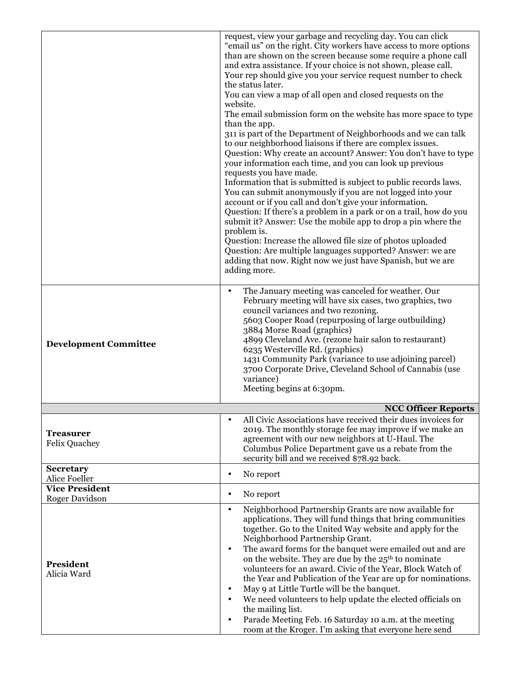|                                                | request, view your garbage and recycling day. You can click<br>"email us" on the right. City workers have access to more options<br>than are shown on the screen because some require a phone call<br>and extra assistance. If your choice is not shown, please call.<br>Your rep should give you your service request number to check<br>the status later.<br>You can view a map of all open and closed requests on the<br>website.<br>The email submission form on the website has more space to type<br>than the app.<br>311 is part of the Department of Neighborhoods and we can talk<br>to our neighborhood liaisons if there are complex issues.<br>Question: Why create an account? Answer: You don't have to type<br>your information each time, and you can look up previous<br>requests you have made.<br>Information that is submitted is subject to public records laws.<br>You can submit anonymously if you are not logged into your<br>account or if you call and don't give your information.<br>Question: If there's a problem in a park or on a trail, how do you<br>submit it? Answer: Use the mobile app to drop a pin where the<br>problem is.<br>Question: Increase the allowed file size of photos uploaded<br>Question: Are multiple languages supported? Answer: we are<br>adding that now. Right now we just have Spanish, but we are<br>adding more. |
|------------------------------------------------|----------------------------------------------------------------------------------------------------------------------------------------------------------------------------------------------------------------------------------------------------------------------------------------------------------------------------------------------------------------------------------------------------------------------------------------------------------------------------------------------------------------------------------------------------------------------------------------------------------------------------------------------------------------------------------------------------------------------------------------------------------------------------------------------------------------------------------------------------------------------------------------------------------------------------------------------------------------------------------------------------------------------------------------------------------------------------------------------------------------------------------------------------------------------------------------------------------------------------------------------------------------------------------------------------------------------------------------------------------------------------------|
| <b>Development Committee</b>                   | The January meeting was canceled for weather. Our<br>$\bullet$<br>February meeting will have six cases, two graphics, two<br>council variances and two rezoning.<br>5603 Cooper Road (repurposing of large outbuilding)<br>3884 Morse Road (graphics)<br>4899 Cleveland Ave. (rezone hair salon to restaurant)<br>6235 Westerville Rd. (graphics)<br>1431 Community Park (variance to use adjoining parcel)<br>3700 Corporate Drive, Cleveland School of Cannabis (use<br>variance)<br>Meeting begins at 6:30pm.                                                                                                                                                                                                                                                                                                                                                                                                                                                                                                                                                                                                                                                                                                                                                                                                                                                                 |
|                                                | <b>NCC Officer Reports</b>                                                                                                                                                                                                                                                                                                                                                                                                                                                                                                                                                                                                                                                                                                                                                                                                                                                                                                                                                                                                                                                                                                                                                                                                                                                                                                                                                       |
| <b>Treasurer</b><br><b>Felix Quachey</b>       | All Civic Associations have received their dues invoices for<br>2019. The monthly storage fee may improve if we make an<br>agreement with our new neighbors at U-Haul. The<br>Columbus Police Department gave us a rebate from the<br>security bill and we received \$78.92 back.                                                                                                                                                                                                                                                                                                                                                                                                                                                                                                                                                                                                                                                                                                                                                                                                                                                                                                                                                                                                                                                                                                |
| <b>Secretary</b><br>Alice Foeller              | No report<br>$\bullet$                                                                                                                                                                                                                                                                                                                                                                                                                                                                                                                                                                                                                                                                                                                                                                                                                                                                                                                                                                                                                                                                                                                                                                                                                                                                                                                                                           |
| <b>Vice President</b><br><b>Roger Davidson</b> | No report<br>$\bullet$                                                                                                                                                                                                                                                                                                                                                                                                                                                                                                                                                                                                                                                                                                                                                                                                                                                                                                                                                                                                                                                                                                                                                                                                                                                                                                                                                           |
| President<br>Alicia Ward                       | Neighborhood Partnership Grants are now available for<br>$\bullet$<br>applications. They will fund things that bring communities<br>together. Go to the United Way website and apply for the<br>Neighborhood Partnership Grant.<br>The award forms for the banquet were emailed out and are<br>$\bullet$<br>on the website. They are due by the 25 <sup>th</sup> to nominate<br>volunteers for an award. Civic of the Year, Block Watch of<br>the Year and Publication of the Year are up for nominations.<br>May 9 at Little Turtle will be the banquet.<br>$\bullet$<br>We need volunteers to help update the elected officials on<br>$\bullet$<br>the mailing list.<br>Parade Meeting Feb. 16 Saturday 10 a.m. at the meeting<br>$\bullet$<br>room at the Kroger. I'm asking that everyone here send                                                                                                                                                                                                                                                                                                                                                                                                                                                                                                                                                                          |